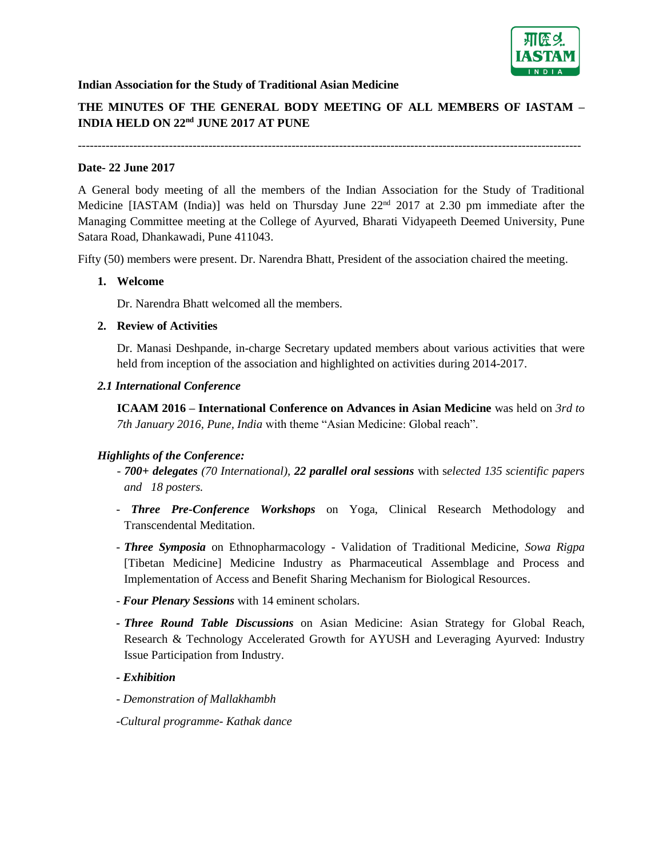

# **Indian Association for the Study of Traditional Asian Medicine**

# **THE MINUTES OF THE GENERAL BODY MEETING OF ALL MEMBERS OF IASTAM – INDIA HELD ON 22<sup>nd</sup> JUNE 2017 AT PUNE**

-------------------------------------------------------------------------------------------------------------------------------

# **Date- 22 June 2017**

A General body meeting of all the members of the Indian Association for the Study of Traditional Medicine [IASTAM (India)] was held on Thursday June 22<sup>nd</sup> 2017 at 2.30 pm immediate after the Managing Committee meeting at the College of Ayurved, Bharati Vidyapeeth Deemed University, Pune Satara Road, Dhankawadi, Pune 411043.

Fifty (50) members were present. Dr. Narendra Bhatt, President of the association chaired the meeting.

# **1. Welcome**

Dr. Narendra Bhatt welcomed all the members.

#### **2. Review of Activities**

Dr. Manasi Deshpande, in-charge Secretary updated members about various activities that were held from inception of the association and highlighted on activities during 2014-2017.

# *2.1 International Conference*

**ICAAM 2016 – International Conference on Advances in Asian Medicine** was held on *3rd to 7th January 2016, Pune, India* with theme "Asian Medicine: Global reach".

# *Highlights of the Conference:*

- *700+ delegates (70 International), 22 parallel oral sessions* with s*elected 135 scientific papers and 18 posters.*
- *Three Pre-Conference Workshops* on Yoga, Clinical Research Methodology and Transcendental Meditation.
- *Three Symposia* on Ethnopharmacology Validation of Traditional Medicine, *Sowa Rigpa* [Tibetan Medicine] Medicine Industry as Pharmaceutical Assemblage and Process and Implementation of Access and Benefit Sharing Mechanism for Biological Resources.
- *Four Plenary Sessions* with 14 eminent scholars.
- *- Three Round Table Discussions* on Asian Medicine: Asian Strategy for Global Reach, Research & Technology Accelerated Growth for AYUSH and Leveraging Ayurved: Industry Issue Participation from Industry.

# *- Exhibition*

- *- Demonstration of Mallakhambh*
- *-Cultural programme- Kathak dance*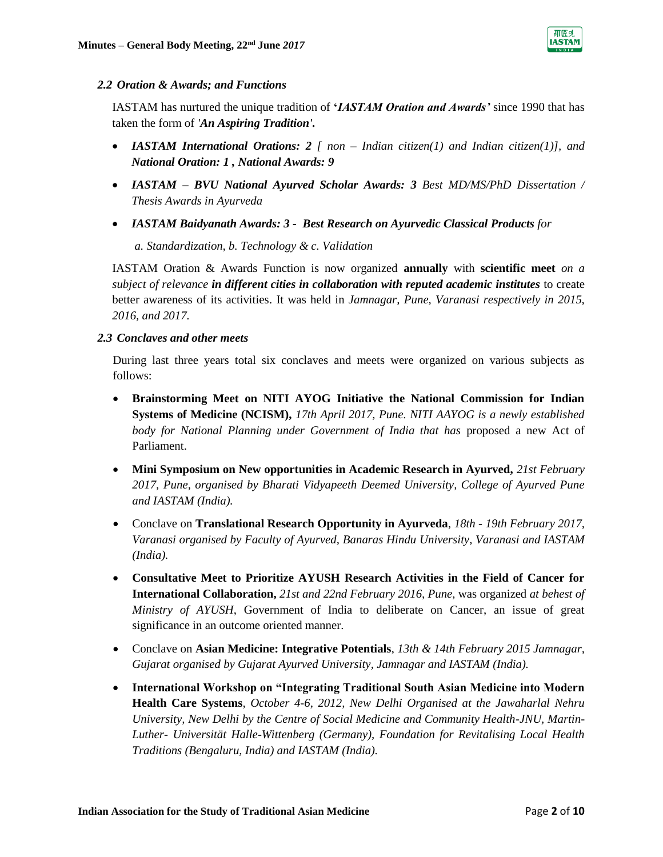

### *2.2 Oration & Awards; and Functions*

IASTAM has nurtured the unique tradition of **'***IASTAM Oration and Awards'* since 1990 that has taken the form of *'An Aspiring Tradition'.*

- *IASTAM International Orations: 2 [ non – Indian citizen(1) and Indian citizen(1)], and National Oration: 1 , National Awards: 9*
- *IASTAM – BVU National Ayurved Scholar Awards: 3 Best MD/MS/PhD Dissertation / Thesis Awards in Ayurveda*
- *IASTAM Baidyanath Awards: 3 - Best Research on Ayurvedic Classical Products for*

*a. Standardization, b. Technology & c. Validation*

IASTAM Oration & Awards Function is now organized **annually** with **scientific meet** *on a subject of relevance in different cities in collaboration with reputed academic institutes* to create better awareness of its activities. It was held in *Jamnagar, Pune, Varanasi respectively in 2015, 2016, and 2017.*

# *2.3 Conclaves and other meets*

During last three years total six conclaves and meets were organized on various subjects as follows:

- **Brainstorming Meet on NITI AYOG Initiative the National Commission for Indian Systems of Medicine (NCISM),** *17th April 2017, Pune. NITI AAYOG is a newly established body for National Planning under Government of India that has* proposed a new Act of Parliament.
- **Mini Symposium on New opportunities in Academic Research in Ayurved,** *21st February 2017, Pune, organised by Bharati Vidyapeeth Deemed University, College of Ayurved Pune and IASTAM (India).*
- Conclave on **Translational Research Opportunity in Ayurveda**, *18th - 19th February 2017, Varanasi organised by Faculty of Ayurved, Banaras Hindu University, Varanasi and IASTAM (India).*
- **Consultative Meet to Prioritize AYUSH Research Activities in the Field of Cancer for International Collaboration,** *21st and 22nd February 2016, Pune,* was organized *at behest of Ministry of AYUSH*, Government of India to deliberate on Cancer, an issue of great significance in an outcome oriented manner.
- Conclave on **Asian Medicine: Integrative Potentials**, *13th & 14th February 2015 Jamnagar, Gujarat organised by Gujarat Ayurved University, Jamnagar and IASTAM (India).*
- **International Workshop on "Integrating Traditional South Asian Medicine into Modern Health Care Systems***, October 4-6, 2012, New Delhi Organised at the Jawaharlal Nehru University, New Delhi by the Centre of Social Medicine and Community Health-JNU, Martin-Luther- Universität Halle-Wittenberg (Germany), Foundation for Revitalising Local Health Traditions (Bengaluru, India) and IASTAM (India).*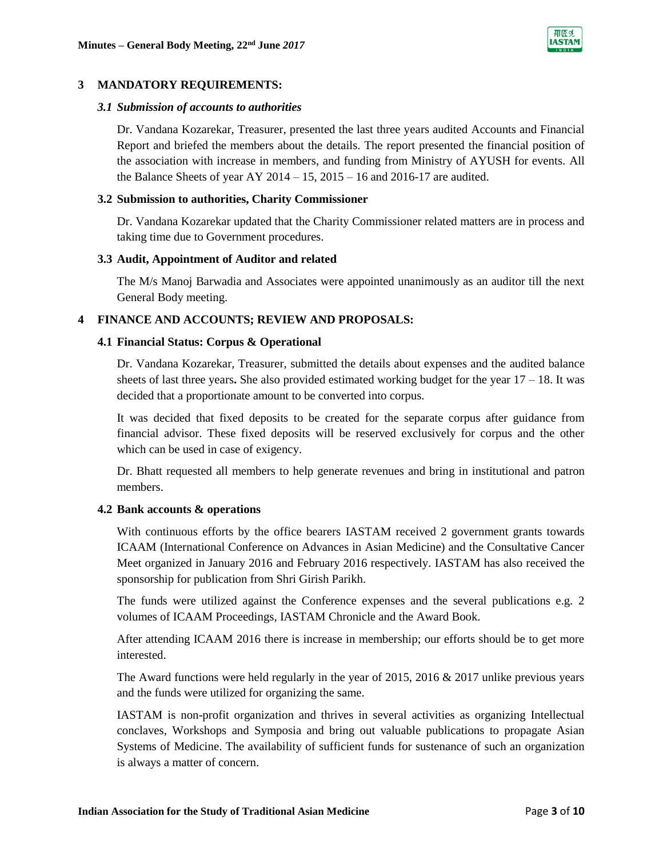

#### **3 MANDATORY REQUIREMENTS:**

#### *3.1 Submission of accounts to authorities*

Dr. Vandana Kozarekar, Treasurer, presented the last three years audited Accounts and Financial Report and briefed the members about the details. The report presented the financial position of the association with increase in members, and funding from Ministry of AYUSH for events. All the Balance Sheets of year AY  $2014 - 15$ ,  $2015 - 16$  and  $2016 - 17$  are audited.

#### **3.2 Submission to authorities, Charity Commissioner**

Dr. Vandana Kozarekar updated that the Charity Commissioner related matters are in process and taking time due to Government procedures.

#### **3.3 Audit, Appointment of Auditor and related**

The M/s Manoj Barwadia and Associates were appointed unanimously as an auditor till the next General Body meeting.

#### **4 FINANCE AND ACCOUNTS; REVIEW AND PROPOSALS:**

#### **4.1 Financial Status: Corpus & Operational**

Dr. Vandana Kozarekar, Treasurer, submitted the details about expenses and the audited balance sheets of last three years**.** She also provided estimated working budget for the year 17 – 18. It was decided that a proportionate amount to be converted into corpus.

It was decided that fixed deposits to be created for the separate corpus after guidance from financial advisor. These fixed deposits will be reserved exclusively for corpus and the other which can be used in case of exigency.

Dr. Bhatt requested all members to help generate revenues and bring in institutional and patron members.

#### **4.2 Bank accounts & operations**

With continuous efforts by the office bearers IASTAM received 2 government grants towards ICAAM (International Conference on Advances in Asian Medicine) and the Consultative Cancer Meet organized in January 2016 and February 2016 respectively. IASTAM has also received the sponsorship for publication from Shri Girish Parikh.

The funds were utilized against the Conference expenses and the several publications e.g. 2 volumes of ICAAM Proceedings, IASTAM Chronicle and the Award Book.

After attending ICAAM 2016 there is increase in membership; our efforts should be to get more interested.

The Award functions were held regularly in the year of 2015, 2016  $& 2017$  unlike previous years and the funds were utilized for organizing the same.

IASTAM is non-profit organization and thrives in several activities as organizing Intellectual conclaves, Workshops and Symposia and bring out valuable publications to propagate Asian Systems of Medicine. The availability of sufficient funds for sustenance of such an organization is always a matter of concern.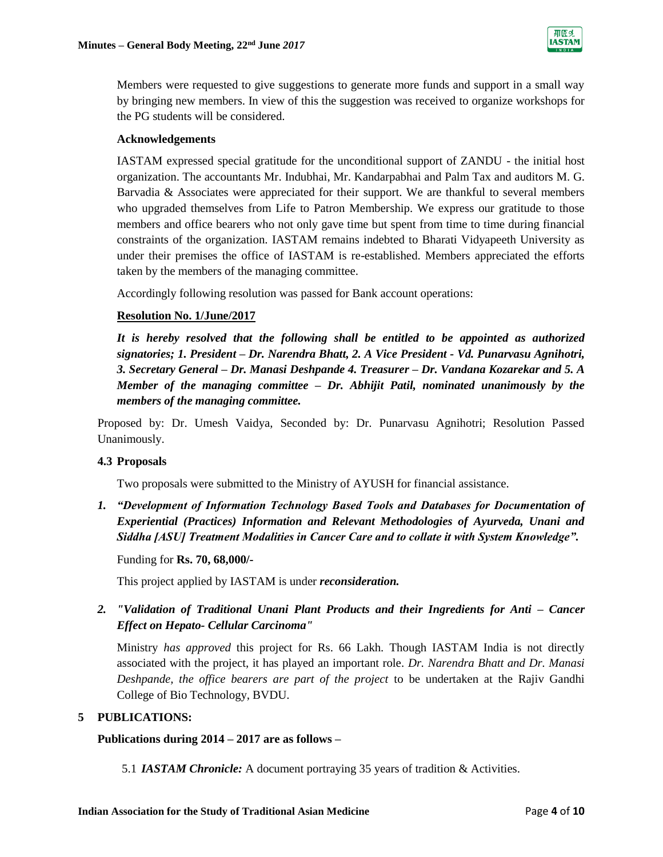

Members were requested to give suggestions to generate more funds and support in a small way by bringing new members. In view of this the suggestion was received to organize workshops for the PG students will be considered.

### **Acknowledgements**

IASTAM expressed special gratitude for the unconditional support of ZANDU - the initial host organization. The accountants Mr. Indubhai, Mr. Kandarpabhai and Palm Tax and auditors M. G. Barvadia & Associates were appreciated for their support. We are thankful to several members who upgraded themselves from Life to Patron Membership. We express our gratitude to those members and office bearers who not only gave time but spent from time to time during financial constraints of the organization. IASTAM remains indebted to Bharati Vidyapeeth University as under their premises the office of IASTAM is re-established. Members appreciated the efforts taken by the members of the managing committee.

Accordingly following resolution was passed for Bank account operations:

# **Resolution No. 1/June/2017**

*It is hereby resolved that the following shall be entitled to be appointed as authorized signatories; 1. President – Dr. Narendra Bhatt, 2. A Vice President - Vd. Punarvasu Agnihotri, 3. Secretary General – Dr. Manasi Deshpande 4. Treasurer – Dr. Vandana Kozarekar and 5. A Member of the managing committee – Dr. Abhijit Patil, nominated unanimously by the members of the managing committee.*

Proposed by: Dr. Umesh Vaidya, Seconded by: Dr. Punarvasu Agnihotri; Resolution Passed Unanimously.

# **4.3 Proposals**

Two proposals were submitted to the Ministry of AYUSH for financial assistance.

*1. "Development of Information Technology Based Tools and Databases for Documentation of Experiential (Practices) Information and Relevant Methodologies of Ayurveda, Unani and Siddha [ASU] Treatment Modalities in Cancer Care and to collate it with System Knowledge".* 

Funding for **Rs. 70, 68,000/-**

This project applied by IASTAM is under *reconsideration.*

*2. "Validation of Traditional Unani Plant Products and their Ingredients for Anti – Cancer Effect on Hepato- Cellular Carcinoma"*

Ministry *has approved* this project for Rs. 66 Lakh. Though IASTAM India is not directly associated with the project, it has played an important role. *Dr. Narendra Bhatt and Dr. Manasi Deshpande, the office bearers are part of the project* to be undertaken at the Rajiv Gandhi College of Bio Technology, BVDU.

#### **5 PUBLICATIONS:**

#### **Publications during 2014 – 2017 are as follows –**

5.1 *IASTAM Chronicle:* A document portraying 35 years of tradition & Activities.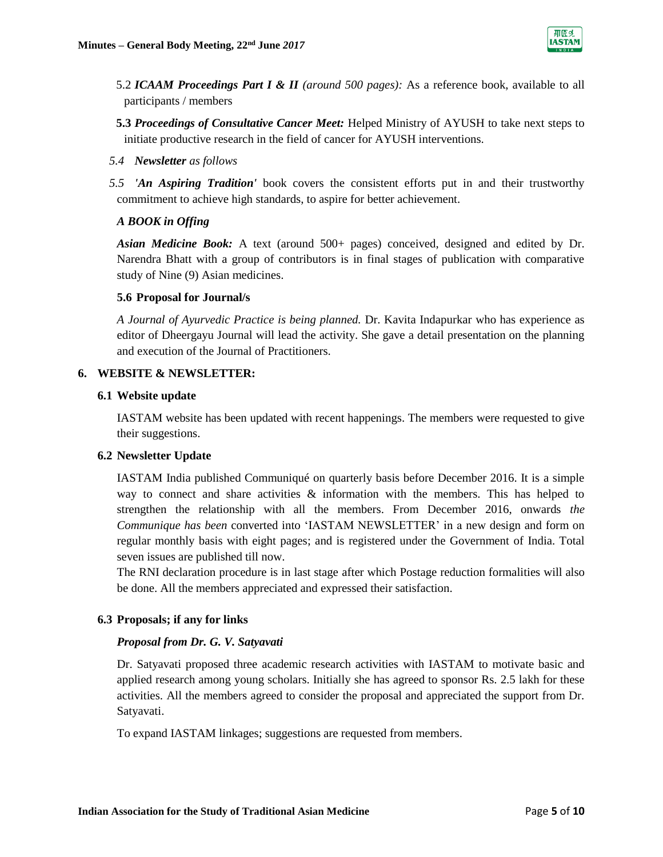

- 5.2 *ICAAM Proceedings Part I & II (around 500 pages):* As a reference book, available to all participants / members
- **5.3** *Proceedings of Consultative Cancer Meet:* Helped Ministry of AYUSH to take next steps to initiate productive research in the field of cancer for AYUSH interventions.
- *5.4 Newsletter as follows*
- *5.5 'An Aspiring Tradition'* book covers the consistent efforts put in and their trustworthy commitment to achieve high standards, to aspire for better achievement.

# *A BOOK in Offing*

*Asian Medicine Book:* A text (around 500+ pages) conceived, designed and edited by Dr. Narendra Bhatt with a group of contributors is in final stages of publication with comparative study of Nine (9) Asian medicines.

#### **5.6 Proposal for Journal/s**

*A Journal of Ayurvedic Practice is being planned.* Dr. Kavita Indapurkar who has experience as editor of Dheergayu Journal will lead the activity. She gave a detail presentation on the planning and execution of the Journal of Practitioners.

#### **6. WEBSITE & NEWSLETTER:**

#### **6.1 Website update**

IASTAM website has been updated with recent happenings. The members were requested to give their suggestions.

# **6.2 Newsletter Update**

IASTAM India published Communiqué on quarterly basis before December 2016. It is a simple way to connect and share activities & information with the members. This has helped to strengthen the relationship with all the members. From December 2016, onwards *the Communique has been* converted into 'IASTAM NEWSLETTER' in a new design and form on regular monthly basis with eight pages; and is registered under the Government of India. Total seven issues are published till now.

The RNI declaration procedure is in last stage after which Postage reduction formalities will also be done. All the members appreciated and expressed their satisfaction.

# **6.3 Proposals; if any for links**

#### *Proposal from Dr. G. V. Satyavati*

Dr. Satyavati proposed three academic research activities with IASTAM to motivate basic and applied research among young scholars. Initially she has agreed to sponsor Rs. 2.5 lakh for these activities. All the members agreed to consider the proposal and appreciated the support from Dr. Satyavati.

To expand IASTAM linkages; suggestions are requested from members.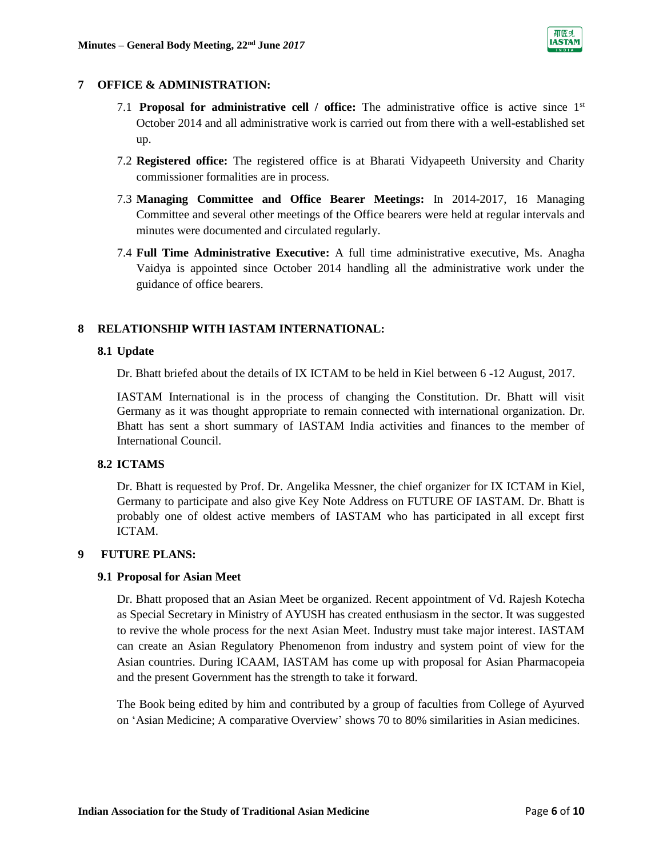

#### **7 OFFICE & ADMINISTRATION:**

- 7.1 **Proposal for administrative cell / office:** The administrative office is active since 1st October 2014 and all administrative work is carried out from there with a well-established set up.
- 7.2 **Registered office:** The registered office is at Bharati Vidyapeeth University and Charity commissioner formalities are in process.
- 7.3 **Managing Committee and Office Bearer Meetings:** In 2014-2017, 16 Managing Committee and several other meetings of the Office bearers were held at regular intervals and minutes were documented and circulated regularly.
- 7.4 **Full Time Administrative Executive:** A full time administrative executive, Ms. Anagha Vaidya is appointed since October 2014 handling all the administrative work under the guidance of office bearers.

# **8 RELATIONSHIP WITH IASTAM INTERNATIONAL:**

#### **8.1 Update**

Dr. Bhatt briefed about the details of IX ICTAM to be held in Kiel between 6 -12 August, 2017.

IASTAM International is in the process of changing the Constitution. Dr. Bhatt will visit Germany as it was thought appropriate to remain connected with international organization. Dr. Bhatt has sent a short summary of IASTAM India activities and finances to the member of International Council.

# **8.2 ICTAMS**

Dr. Bhatt is requested by Prof. Dr. Angelika Messner, the chief organizer for IX ICTAM in Kiel, Germany to participate and also give Key Note Address on FUTURE OF IASTAM. Dr. Bhatt is probably one of oldest active members of IASTAM who has participated in all except first ICTAM.

# **9 FUTURE PLANS:**

# **9.1 Proposal for Asian Meet**

Dr. Bhatt proposed that an Asian Meet be organized. Recent appointment of Vd. Rajesh Kotecha as Special Secretary in Ministry of AYUSH has created enthusiasm in the sector. It was suggested to revive the whole process for the next Asian Meet. Industry must take major interest. IASTAM can create an Asian Regulatory Phenomenon from industry and system point of view for the Asian countries. During ICAAM, IASTAM has come up with proposal for Asian Pharmacopeia and the present Government has the strength to take it forward.

The Book being edited by him and contributed by a group of faculties from College of Ayurved on 'Asian Medicine; A comparative Overview' shows 70 to 80% similarities in Asian medicines.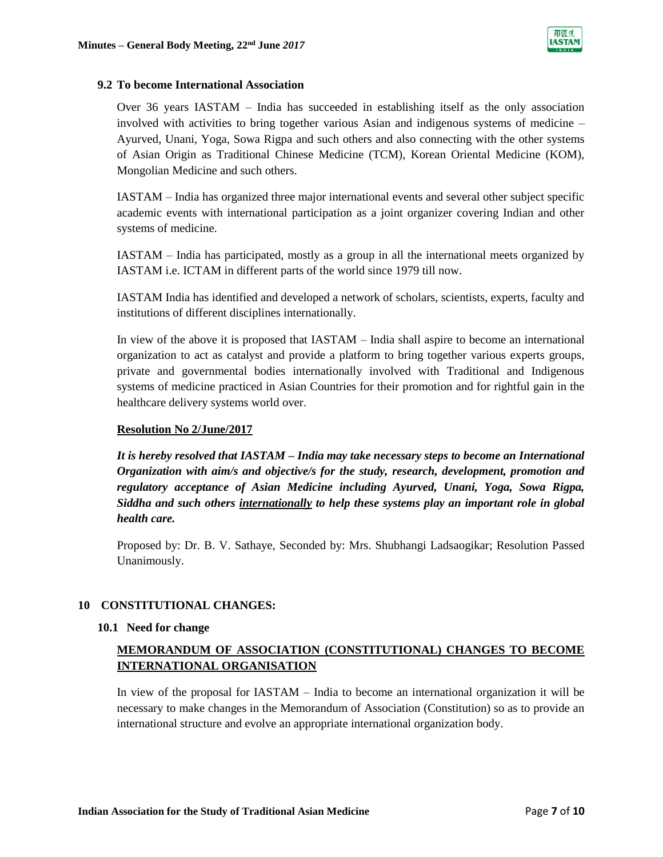

#### **9.2 To become International Association**

Over 36 years IASTAM – India has succeeded in establishing itself as the only association involved with activities to bring together various Asian and indigenous systems of medicine – Ayurved, Unani, Yoga, Sowa Rigpa and such others and also connecting with the other systems of Asian Origin as Traditional Chinese Medicine (TCM), Korean Oriental Medicine (KOM), Mongolian Medicine and such others.

IASTAM – India has organized three major international events and several other subject specific academic events with international participation as a joint organizer covering Indian and other systems of medicine.

IASTAM – India has participated, mostly as a group in all the international meets organized by IASTAM i.e. ICTAM in different parts of the world since 1979 till now.

IASTAM India has identified and developed a network of scholars, scientists, experts, faculty and institutions of different disciplines internationally.

In view of the above it is proposed that IASTAM – India shall aspire to become an international organization to act as catalyst and provide a platform to bring together various experts groups, private and governmental bodies internationally involved with Traditional and Indigenous systems of medicine practiced in Asian Countries for their promotion and for rightful gain in the healthcare delivery systems world over.

# **Resolution No 2/June/2017**

*It is hereby resolved that IASTAM – India may take necessary steps to become an International Organization with aim/s and objective/s for the study, research, development, promotion and regulatory acceptance of Asian Medicine including Ayurved, Unani, Yoga, Sowa Rigpa, Siddha and such others internationally to help these systems play an important role in global health care.*

Proposed by: Dr. B. V. Sathaye, Seconded by: Mrs. Shubhangi Ladsaogikar; Resolution Passed Unanimously.

# **10 CONSTITUTIONAL CHANGES:**

# **10.1 Need for change**

# **MEMORANDUM OF ASSOCIATION (CONSTITUTIONAL) CHANGES TO BECOME INTERNATIONAL ORGANISATION**

In view of the proposal for IASTAM – India to become an international organization it will be necessary to make changes in the Memorandum of Association (Constitution) so as to provide an international structure and evolve an appropriate international organization body.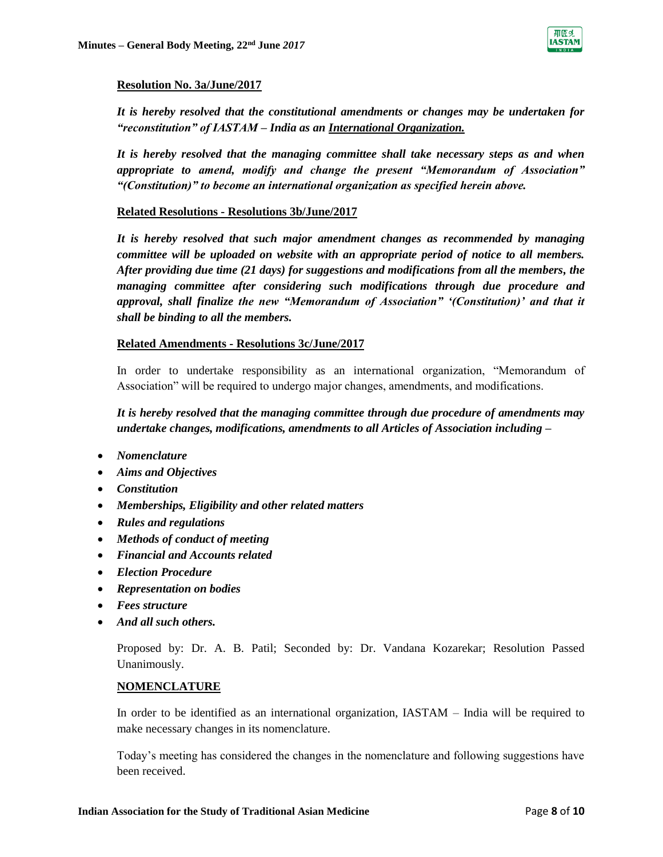

### **Resolution No. 3a/June/2017**

*It is hereby resolved that the constitutional amendments or changes may be undertaken for "reconstitution" of IASTAM – India as an International Organization.*

*It is hereby resolved that the managing committee shall take necessary steps as and when appropriate to amend, modify and change the present "Memorandum of Association" "(Constitution)" to become an international organization as specified herein above.*

# **Related Resolutions - Resolutions 3b/June/2017**

*It is hereby resolved that such major amendment changes as recommended by managing committee will be uploaded on website with an appropriate period of notice to all members. After providing due time (21 days) for suggestions and modifications from all the members, the managing committee after considering such modifications through due procedure and approval, shall finalize the new "Memorandum of Association" '(Constitution)' and that it shall be binding to all the members.*

# **Related Amendments - Resolutions 3c/June/2017**

In order to undertake responsibility as an international organization, "Memorandum of Association" will be required to undergo major changes, amendments, and modifications.

*It is hereby resolved that the managing committee through due procedure of amendments may undertake changes, modifications, amendments to all Articles of Association including –*

- *Nomenclature*
- *Aims and Objectives*
- *Constitution*
- *Memberships, Eligibility and other related matters*
- *Rules and regulations*
- *Methods of conduct of meeting*
- *Financial and Accounts related*
- *Election Procedure*
- *Representation on bodies*
- *Fees structure*
- *And all such others.*

Proposed by: Dr. A. B. Patil; Seconded by: Dr. Vandana Kozarekar; Resolution Passed Unanimously.

# **NOMENCLATURE**

In order to be identified as an international organization, IASTAM – India will be required to make necessary changes in its nomenclature.

Today's meeting has considered the changes in the nomenclature and following suggestions have been received.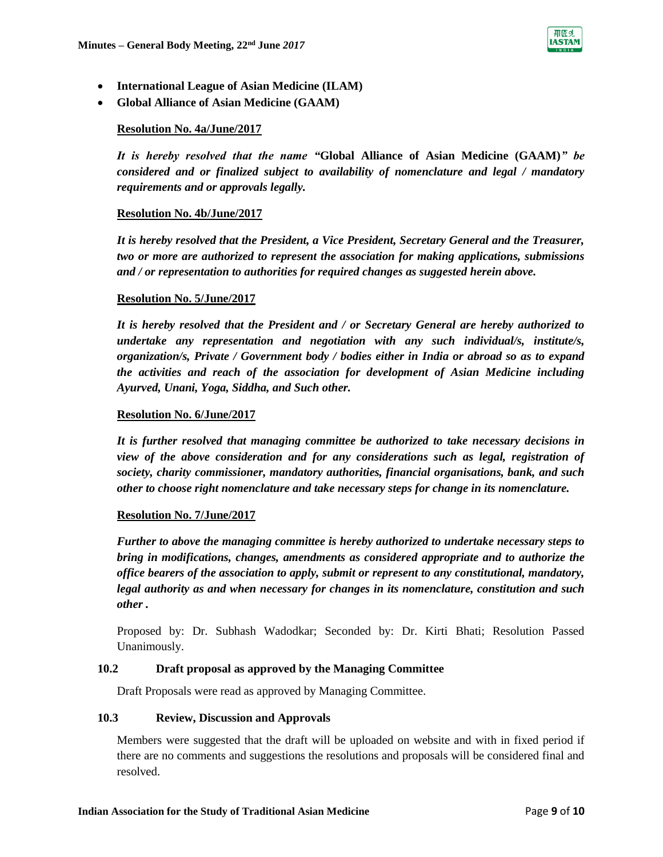

- **International League of Asian Medicine (ILAM)**
- **Global Alliance of Asian Medicine (GAAM)**

# **Resolution No. 4a/June/2017**

*It is hereby resolved that the name "***Global Alliance of Asian Medicine (GAAM)***" be considered and or finalized subject to availability of nomenclature and legal / mandatory requirements and or approvals legally.*

#### **Resolution No. 4b/June/2017**

*It is hereby resolved that the President, a Vice President, Secretary General and the Treasurer, two or more are authorized to represent the association for making applications, submissions and / or representation to authorities for required changes as suggested herein above.*

#### **Resolution No. 5/June/2017**

*It is hereby resolved that the President and / or Secretary General are hereby authorized to undertake any representation and negotiation with any such individual/s, institute/s, organization/s, Private / Government body / bodies either in India or abroad so as to expand the activities and reach of the association for development of Asian Medicine including Ayurved, Unani, Yoga, Siddha, and Such other.*

#### **Resolution No. 6/June/2017**

*It is further resolved that managing committee be authorized to take necessary decisions in view of the above consideration and for any considerations such as legal, registration of society, charity commissioner, mandatory authorities, financial organisations, bank, and such other to choose right nomenclature and take necessary steps for change in its nomenclature.*

# **Resolution No. 7/June/2017**

*Further to above the managing committee is hereby authorized to undertake necessary steps to bring in modifications, changes, amendments as considered appropriate and to authorize the office bearers of the association to apply, submit or represent to any constitutional, mandatory, legal authority as and when necessary for changes in its nomenclature, constitution and such other .*

Proposed by: Dr. Subhash Wadodkar; Seconded by: Dr. Kirti Bhati; Resolution Passed Unanimously.

# **10.2 Draft proposal as approved by the Managing Committee**

Draft Proposals were read as approved by Managing Committee.

#### **10.3 Review, Discussion and Approvals**

Members were suggested that the draft will be uploaded on website and with in fixed period if there are no comments and suggestions the resolutions and proposals will be considered final and resolved.